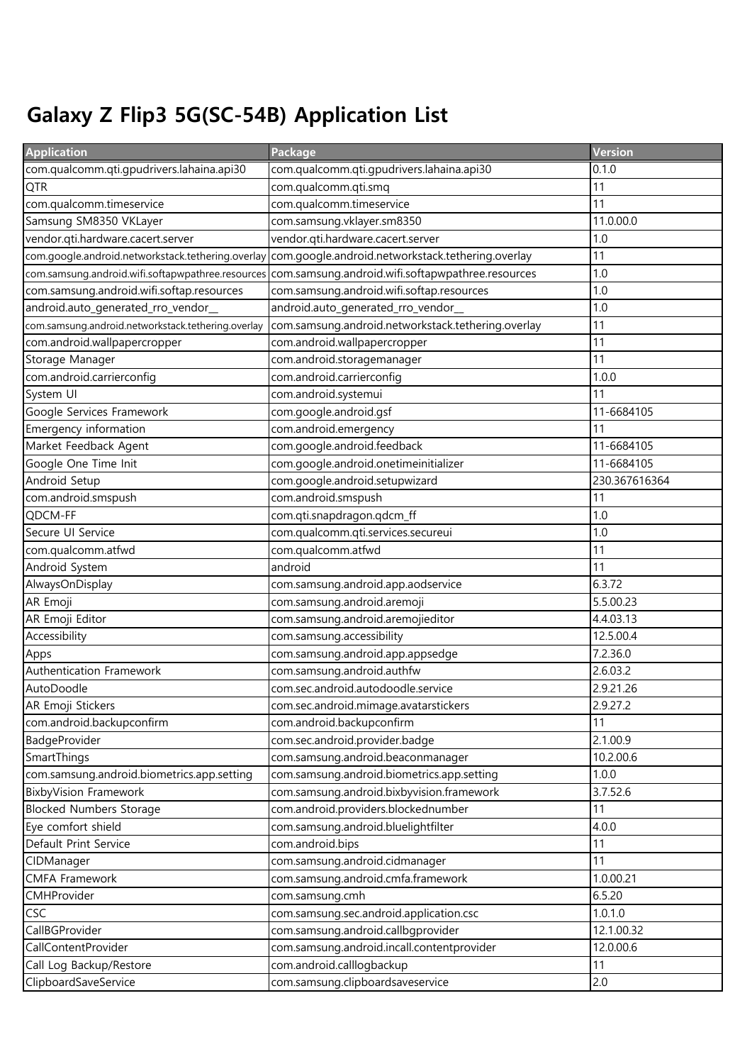## Galaxy Z Flip3 5G(SC-54B) Application List

| <b>Application</b>                                 | Package                                                                          | Version                 |
|----------------------------------------------------|----------------------------------------------------------------------------------|-------------------------|
| com.qualcomm.qti.gpudrivers.lahaina.api30          | com.qualcomm.qti.gpudrivers.lahaina.api30                                        | 0.1.0                   |
| <b>QTR</b>                                         | com.qualcomm.qti.smq                                                             | 11                      |
| com.qualcomm.timeservice                           | com.qualcomm.timeservice                                                         | 11                      |
| Samsung SM8350 VKLayer                             | com.samsung.vklayer.sm8350                                                       | 11.0.00.0               |
| vendor.qti.hardware.cacert.server                  | vendor.qti.hardware.cacert.server                                                | 1.0                     |
| com.google.android.networkstack.tethering.overlay  | com.google.android.networkstack.tethering.overlay                                | 11                      |
| com.samsung.android.wifi.softapwpathree.resources  | com.samsung.android.wifi.softapwpathree.resources                                | 1.0                     |
| com.samsung.android.wifi.softap.resources          | com.samsung.android.wifi.softap.resources                                        | 1.0                     |
| android.auto_generated_rro_vendor_                 | android.auto_generated_rro_vendor_                                               | 1.0                     |
| com.samsung.android.networkstack.tethering.overlay | com.samsung.android.networkstack.tethering.overlay                               | 11                      |
| com.android.wallpapercropper                       | com.android.wallpapercropper                                                     | 11                      |
| Storage Manager                                    | com.android.storagemanager                                                       | 11                      |
| com.android.carrierconfig                          | com.android.carrierconfig                                                        | 1.0.0                   |
| System UI                                          | com.android.systemui                                                             | 11                      |
| Google Services Framework                          | com.google.android.gsf                                                           | 11-6684105              |
| Emergency information                              | com.android.emergency                                                            | 11                      |
| Market Feedback Agent                              | com.google.android.feedback                                                      | 11-6684105              |
| Google One Time Init                               | com.google.android.onetimeinitializer                                            | 11-6684105              |
| Android Setup                                      | com.google.android.setupwizard                                                   | 230.367616364           |
| com.android.smspush                                | com.android.smspush                                                              | 11                      |
| QDCM-FF                                            | com.qti.snapdragon.qdcm_ff                                                       | 1.0                     |
| Secure UI Service                                  | com.qualcomm.qti.services.secureui                                               | 1.0                     |
| com.qualcomm.atfwd                                 | com.qualcomm.atfwd                                                               | 11                      |
| Android System                                     | android                                                                          | 11                      |
| AlwaysOnDisplay                                    | com.samsung.android.app.aodservice                                               | 6.3.72                  |
| AR Emoji                                           | com.samsung.android.aremoji                                                      | 5.5.00.23               |
| AR Emoji Editor                                    | com.samsung.android.aremojieditor                                                | 4.4.03.13               |
| Accessibility                                      | com.samsung.accessibility                                                        | 12.5.00.4               |
| Apps                                               | com.samsung.android.app.appsedge                                                 | 7.2.36.0                |
| Authentication Framework                           | com.samsung.android.authfw                                                       | 2.6.03.2                |
| AutoDoodle                                         | com.sec.android.autodoodle.service                                               | 2.9.21.26               |
| AR Emoji Stickers                                  | com.sec.android.mimage.avatarstickers                                            | 2.9.27.2                |
| com.android.backupconfirm                          | com.android.backupconfirm                                                        | 11                      |
| BadgeProvider                                      | com.sec.android.provider.badge                                                   | 2.1.00.9                |
| SmartThings                                        | com.samsung.android.beaconmanager                                                | 10.2.00.6               |
| com.samsung.android.biometrics.app.setting         | com.samsung.android.biometrics.app.setting                                       | 1.0.0                   |
| <b>BixbyVision Framework</b>                       | com.samsung.android.bixbyvision.framework                                        | 3.7.52.6                |
| <b>Blocked Numbers Storage</b>                     | com.android.providers.blockednumber                                              | 11                      |
| Eye comfort shield                                 | com.samsung.android.bluelightfilter                                              | 4.0.0                   |
| Default Print Service                              | com.android.bips                                                                 | 11                      |
| CIDManager                                         | com.samsung.android.cidmanager                                                   | 11                      |
| <b>CMFA Framework</b>                              | com.samsung.android.cmfa.framework                                               | 1.0.00.21               |
| CMHProvider                                        | com.samsung.cmh                                                                  | 6.5.20                  |
| <b>CSC</b>                                         | com.samsung.sec.android.application.csc                                          | 1.0.1.0                 |
| CallBGProvider<br>CallContentProvider              | com.samsung.android.callbgprovider<br>com.samsung.android.incall.contentprovider | 12.1.00.32<br>12.0.00.6 |
| Call Log Backup/Restore                            | com.android.calllogbackup                                                        | 11                      |
|                                                    |                                                                                  | 2.0                     |
| ClipboardSaveService                               | com.samsung.clipboardsaveservice                                                 |                         |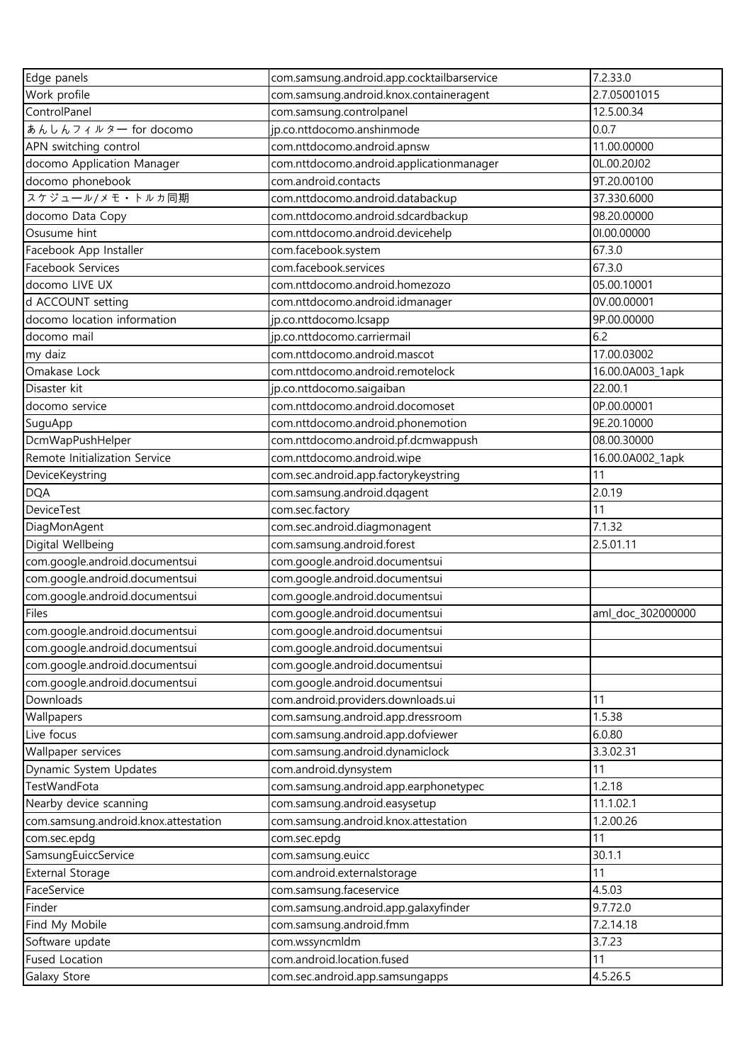| Edge panels                          | com.samsung.android.app.cocktailbarservice | 7.2.33.0          |
|--------------------------------------|--------------------------------------------|-------------------|
| Work profile                         | com.samsung.android.knox.containeragent    | 2.7.05001015      |
| ControlPanel                         | com.samsung.controlpanel                   | 12.5.00.34        |
| あんしんフィルター for docomo                 | jp.co.nttdocomo.anshinmode                 | 0.0.7             |
| APN switching control                | com.nttdocomo.android.apnsw                | 11.00.00000       |
| docomo Application Manager           | com.nttdocomo.android.applicationmanager   | 0L.00.20J02       |
| docomo phonebook                     | com.android.contacts                       | 9T.20.00100       |
| スケジュール/メモ·トルカ同期                      | com.nttdocomo.android.databackup           | 37.330.6000       |
| docomo Data Copy                     | com.nttdocomo.android.sdcardbackup         | 98.20.00000       |
| Osusume hint                         | com.nttdocomo.android.devicehelp           | 01.00.00000       |
| Facebook App Installer               | com.facebook.system                        | 67.3.0            |
| Facebook Services                    | com.facebook.services                      | 67.3.0            |
| docomo LIVE UX                       | com.nttdocomo.android.homezozo             | 05.00.10001       |
| d ACCOUNT setting                    | com.nttdocomo.android.idmanager            | 0V.00.00001       |
| docomo location information          | jp.co.nttdocomo.lcsapp                     | 9P.00.00000       |
| docomo mail                          | jp.co.nttdocomo.carriermail                | 6.2               |
| my daiz                              | com.nttdocomo.android.mascot               | 17.00.03002       |
| Omakase Lock                         | com.nttdocomo.android.remotelock           | 16.00.0A003_1apk  |
| Disaster kit                         | jp.co.nttdocomo.saigaiban                  | 22.00.1           |
| docomo service                       | com.nttdocomo.android.docomoset            | 0P.00.00001       |
| SuguApp                              | com.nttdocomo.android.phonemotion          | 9E.20.10000       |
| DcmWapPushHelper                     | com.nttdocomo.android.pf.dcmwappush        | 08.00.30000       |
| Remote Initialization Service        | com.nttdocomo.android.wipe                 | 16.00.0A002_1apk  |
| DeviceKeystring                      | com.sec.android.app.factorykeystring       | 11                |
| <b>DQA</b>                           | com.samsung.android.dqagent                | 2.0.19            |
| <b>DeviceTest</b>                    | com.sec.factory                            | 11                |
| DiagMonAgent                         | com.sec.android.diagmonagent               | 7.1.32            |
| Digital Wellbeing                    | com.samsung.android.forest                 | 2.5.01.11         |
| com.google.android.documentsui       | com.google.android.documentsui             |                   |
| com.google.android.documentsui       | com.google.android.documentsui             |                   |
| com.google.android.documentsui       | com.google.android.documentsui             |                   |
| Files                                | com.google.android.documentsui             | aml_doc_302000000 |
| com.google.android.documentsui       | com.google.android.documentsui             |                   |
| com.google.android.documentsui       | com.google.android.documentsui             |                   |
| com.google.android.documentsui       | com.google.android.documentsui             |                   |
| com.google.android.documentsui       | com.google.android.documentsui             |                   |
| Downloads                            | com.android.providers.downloads.ui         | 11                |
| Wallpapers                           | com.samsung.android.app.dressroom          | 1.5.38            |
| Live focus                           | com.samsung.android.app.dofviewer          | 6.0.80            |
| Wallpaper services                   | com.samsung.android.dynamiclock            | 3.3.02.31         |
| Dynamic System Updates               | com.android.dynsystem                      | 11                |
| TestWandFota                         | com.samsung.android.app.earphonetypec      | 1.2.18            |
| Nearby device scanning               | com.samsung.android.easysetup              | 11.1.02.1         |
| com.samsung.android.knox.attestation | com.samsung.android.knox.attestation       | 1.2.00.26         |
| com.sec.epdg                         | com.sec.epdg                               | 11                |
| SamsungEuiccService                  | com.samsung.euicc                          | 30.1.1            |
| <b>External Storage</b>              | com.android.externalstorage                | 11                |
| FaceService                          | com.samsung.faceservice                    | 4.5.03            |
| Finder                               | com.samsung.android.app.galaxyfinder       | 9.7.72.0          |
| Find My Mobile                       | com.samsung.android.fmm                    | 7.2.14.18         |
| Software update                      | com.wssyncmldm                             | 3.7.23            |
| <b>Fused Location</b>                | com.android.location.fused                 | 11                |
| Galaxy Store                         | com.sec.android.app.samsungapps            | 4.5.26.5          |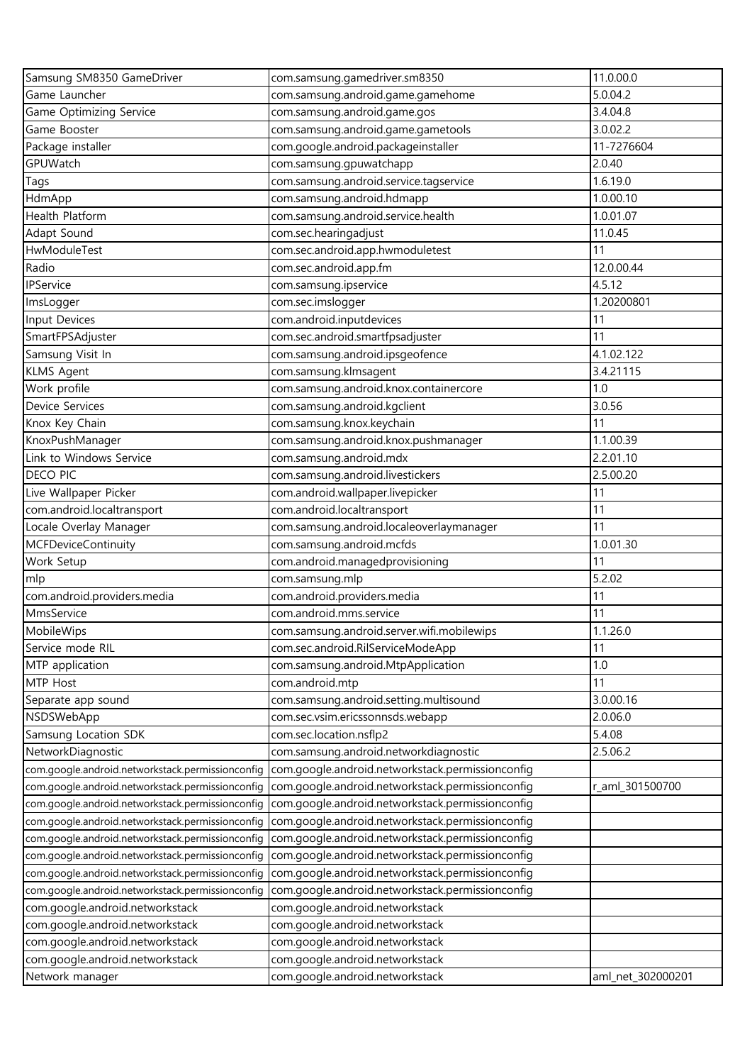| Samsung SM8350 GameDriver                                                                            | com.samsung.gamedriver.sm8350                                                                        | 11.0.00.0         |
|------------------------------------------------------------------------------------------------------|------------------------------------------------------------------------------------------------------|-------------------|
| Game Launcher                                                                                        | com.samsung.android.game.gamehome                                                                    | 5.0.04.2          |
| Game Optimizing Service                                                                              | com.samsung.android.game.gos                                                                         | 3.4.04.8          |
| Game Booster                                                                                         | com.samsung.android.game.gametools                                                                   | 3.0.02.2          |
| Package installer                                                                                    | com.google.android.packageinstaller                                                                  | 11-7276604        |
| GPUWatch                                                                                             | com.samsung.gpuwatchapp                                                                              | 2.0.40            |
| Tags                                                                                                 | com.samsung.android.service.tagservice                                                               | 1.6.19.0          |
| HdmApp                                                                                               | com.samsung.android.hdmapp                                                                           | 1.0.00.10         |
| Health Platform                                                                                      | com.samsung.android.service.health                                                                   | 1.0.01.07         |
| Adapt Sound                                                                                          | com.sec.hearingadjust                                                                                | 11.0.45           |
| HwModuleTest                                                                                         | com.sec.android.app.hwmoduletest                                                                     | 11                |
| Radio                                                                                                | com.sec.android.app.fm                                                                               | 12.0.00.44        |
| <b>IPService</b>                                                                                     | com.samsung.ipservice                                                                                | 4.5.12            |
| ImsLogger                                                                                            | com.sec.imslogger                                                                                    | 1.20200801        |
| Input Devices                                                                                        | com.android.inputdevices                                                                             | 11                |
| SmartFPSAdjuster                                                                                     | com.sec.android.smartfpsadjuster                                                                     | 11                |
| Samsung Visit In                                                                                     | com.samsung.android.ipsgeofence                                                                      | 4.1.02.122        |
| <b>KLMS Agent</b>                                                                                    | com.samsung.klmsagent                                                                                | 3.4.21115         |
| Work profile                                                                                         | com.samsung.android.knox.containercore                                                               | 1.0               |
| Device Services                                                                                      | com.samsung.android.kgclient                                                                         | 3.0.56            |
| Knox Key Chain                                                                                       | com.samsung.knox.keychain                                                                            | 11                |
| KnoxPushManager                                                                                      | com.samsung.android.knox.pushmanager                                                                 | 1.1.00.39         |
| Link to Windows Service                                                                              | com.samsung.android.mdx                                                                              | 2.2.01.10         |
| <b>DECO PIC</b>                                                                                      | com.samsung.android.livestickers                                                                     | 2.5.00.20         |
| Live Wallpaper Picker                                                                                | com.android.wallpaper.livepicker                                                                     | 11                |
| com.android.localtransport                                                                           | com.android.localtransport                                                                           | 11                |
| Locale Overlay Manager                                                                               | com.samsung.android.localeoverlaymanager                                                             | 11                |
| <b>MCFDeviceContinuity</b>                                                                           | com.samsung.android.mcfds                                                                            | 1.0.01.30         |
| Work Setup                                                                                           | com.android.managedprovisioning                                                                      | 11                |
| mlp                                                                                                  | com.samsung.mlp                                                                                      | 5.2.02            |
| com.android.providers.media                                                                          | com.android.providers.media                                                                          | 11                |
| MmsService                                                                                           | com.android.mms.service                                                                              | 11                |
| MobileWips                                                                                           | com.samsung.android.server.wifi.mobilewips                                                           | 1.1.26.0          |
| Service mode RIL                                                                                     |                                                                                                      | 11                |
| MTP application                                                                                      | com.sec.android.RilServiceModeApp<br>com.samsung.android.MtpApplication                              | 1.0               |
| MTP Host                                                                                             |                                                                                                      | 11                |
| Separate app sound                                                                                   | com.android.mtp<br>com.samsung.android.setting.multisound                                            | 3.0.00.16         |
| NSDSWebApp                                                                                           | com.sec.vsim.ericssonnsds.webapp                                                                     | 2.0.06.0          |
| Samsung Location SDK                                                                                 | com.sec.location.nsflp2                                                                              | 5.4.08            |
| NetworkDiagnostic                                                                                    | com.samsung.android.networkdiagnostic                                                                | 2.5.06.2          |
| com.google.android.networkstack.permissionconfig                                                     | com.google.android.networkstack.permissionconfig                                                     |                   |
| com.google.android.networkstack.permissionconfig                                                     | com.google.android.networkstack.permissionconfig                                                     | r_aml_301500700   |
| com.google.android.networkstack.permissionconfig                                                     | com.google.android.networkstack.permissionconfig                                                     |                   |
| com.google.android.networkstack.permissionconfig                                                     | com.google.android.networkstack.permissionconfig                                                     |                   |
|                                                                                                      | com.google.android.networkstack.permissionconfig                                                     |                   |
| com.google.android.networkstack.permissionconfig                                                     |                                                                                                      |                   |
| com.google.android.networkstack.permissionconfig<br>com.google.android.networkstack.permissionconfig | com.google.android.networkstack.permissionconfig<br>com.google.android.networkstack.permissionconfig |                   |
|                                                                                                      |                                                                                                      |                   |
| com.google.android.networkstack.permissionconfig<br>com.google.android.networkstack                  | com.google.android.networkstack.permissionconfig<br>com.google.android.networkstack                  |                   |
| com.google.android.networkstack                                                                      | com.google.android.networkstack                                                                      |                   |
| com.google.android.networkstack                                                                      |                                                                                                      |                   |
|                                                                                                      | com.google.android.networkstack                                                                      |                   |
| com.google.android.networkstack                                                                      | com.google.android.networkstack                                                                      |                   |
| Network manager                                                                                      | com.google.android.networkstack                                                                      | aml_net_302000201 |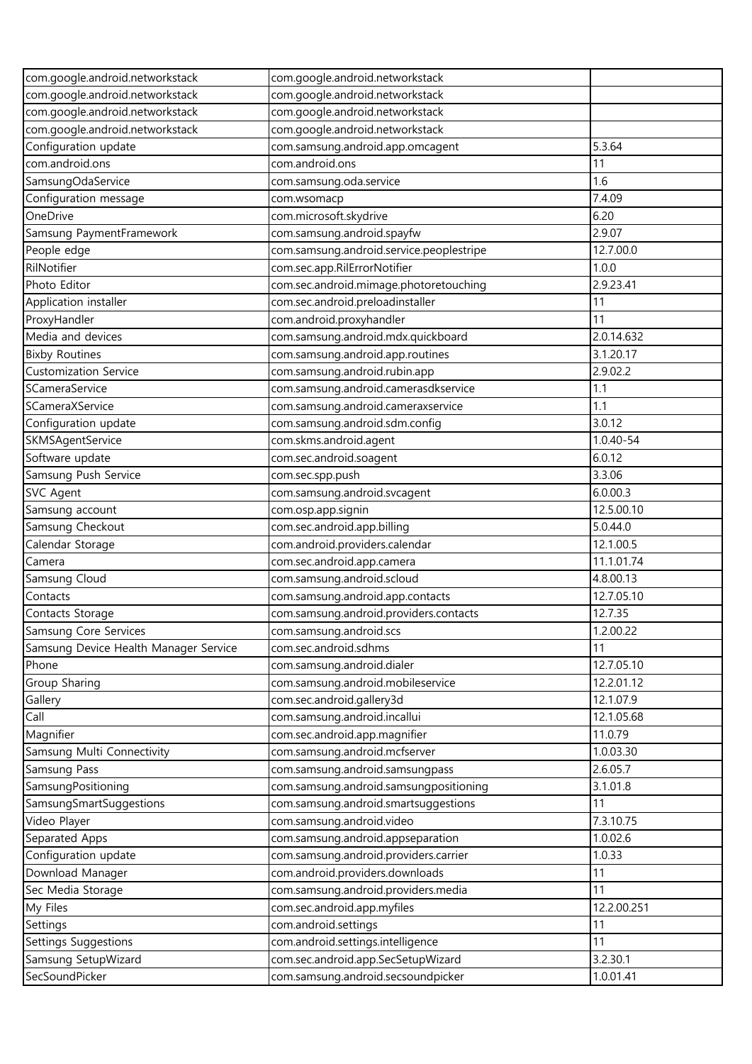| com.google.android.networkstack       | com.google.android.networkstack          |             |
|---------------------------------------|------------------------------------------|-------------|
| com.google.android.networkstack       | com.google.android.networkstack          |             |
| com.google.android.networkstack       | com.google.android.networkstack          |             |
| com.google.android.networkstack       | com.google.android.networkstack          |             |
| Configuration update                  | com.samsung.android.app.omcagent         | 5.3.64      |
| com.android.ons                       | com.android.ons                          | 11          |
| SamsungOdaService                     | com.samsung.oda.service                  | 1.6         |
| Configuration message                 | com.wsomacp                              | 7.4.09      |
| OneDrive                              | com.microsoft.skydrive                   | 6.20        |
| Samsung PaymentFramework              | com.samsung.android.spayfw               | 2.9.07      |
| People edge                           | com.samsung.android.service.peoplestripe | 12.7.00.0   |
| RilNotifier                           | com.sec.app.RilErrorNotifier             | 1.0.0       |
| Photo Editor                          | com.sec.android.mimage.photoretouching   | 2.9.23.41   |
| Application installer                 | com.sec.android.preloadinstaller         | 11          |
| ProxyHandler                          | com.android.proxyhandler                 | 11          |
| Media and devices                     | com.samsung.android.mdx.quickboard       | 2.0.14.632  |
| <b>Bixby Routines</b>                 | com.samsung.android.app.routines         | 3.1.20.17   |
| <b>Customization Service</b>          | com.samsung.android.rubin.app            | 2.9.02.2    |
| SCameraService                        | com.samsung.android.camerasdkservice     | 1.1         |
| SCameraXService                       | com.samsung.android.cameraxservice       | 1.1         |
| Configuration update                  | com.samsung.android.sdm.config           | 3.0.12      |
| SKMSAgentService                      | com.skms.android.agent                   | 1.0.40-54   |
| Software update                       | com.sec.android.soagent                  | 6.0.12      |
| Samsung Push Service                  | com.sec.spp.push                         | 3.3.06      |
| <b>SVC Agent</b>                      | com.samsung.android.svcagent             | 6.0.00.3    |
| Samsung account                       | com.osp.app.signin                       | 12.5.00.10  |
| Samsung Checkout                      | com.sec.android.app.billing              | 5.0.44.0    |
| Calendar Storage                      | com.android.providers.calendar           | 12.1.00.5   |
| Camera                                | com.sec.android.app.camera               | 11.1.01.74  |
| Samsung Cloud                         | com.samsung.android.scloud               | 4.8.00.13   |
| Contacts                              | com.samsung.android.app.contacts         | 12.7.05.10  |
| Contacts Storage                      | com.samsung.android.providers.contacts   | 12.7.35     |
| Samsung Core Services                 | com.samsung.android.scs                  | 1.2.00.22   |
| Samsung Device Health Manager Service | com.sec.android.sdhms                    | 11          |
| Phone                                 | com.samsung.android.dialer               | 12.7.05.10  |
| Group Sharing                         | com.samsung.android.mobileservice        | 12.2.01.12  |
| Gallery                               | com.sec.android.gallery3d                | 12.1.07.9   |
| Call                                  | com.samsung.android.incallui             | 12.1.05.68  |
| Magnifier                             | com.sec.android.app.magnifier            | 11.0.79     |
| Samsung Multi Connectivity            | com.samsung.android.mcfserver            | 1.0.03.30   |
| Samsung Pass                          | com.samsung.android.samsungpass          | 2.6.05.7    |
| SamsungPositioning                    | com.samsung.android.samsungpositioning   | 3.1.01.8    |
| SamsungSmartSuggestions               | com.samsung.android.smartsuggestions     | 11          |
| Video Player                          | com.samsung.android.video                | 7.3.10.75   |
| Separated Apps                        | com.samsung.android.appseparation        | 1.0.02.6    |
| Configuration update                  | com.samsung.android.providers.carrier    | 1.0.33      |
| Download Manager                      | com.android.providers.downloads          | 11          |
| Sec Media Storage                     | com.samsung.android.providers.media      | 11          |
| My Files                              | com.sec.android.app.myfiles              | 12.2.00.251 |
| Settings                              | com.android.settings                     | 11          |
| Settings Suggestions                  | com.android.settings.intelligence        | 11          |
| Samsung SetupWizard                   | com.sec.android.app.SecSetupWizard       | 3.2.30.1    |
| SecSoundPicker                        | com.samsung.android.secsoundpicker       | 1.0.01.41   |
|                                       |                                          |             |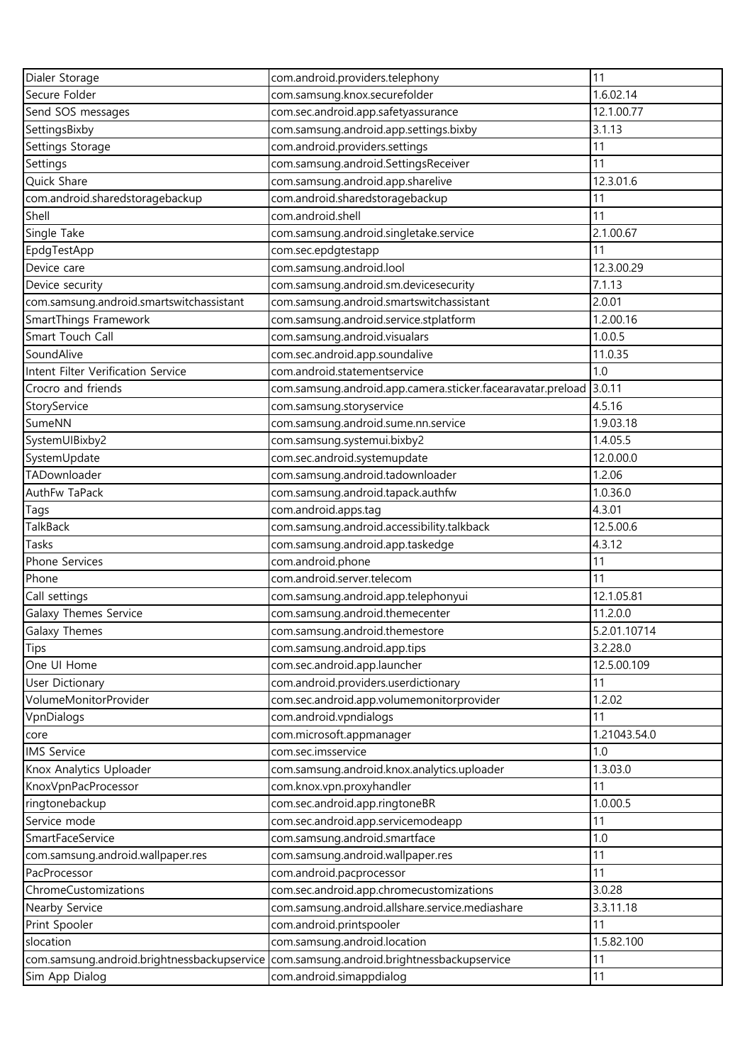| Dialer Storage                                                                          | com.android.providers.telephony                             | 11           |
|-----------------------------------------------------------------------------------------|-------------------------------------------------------------|--------------|
| Secure Folder                                                                           | com.samsung.knox.securefolder                               | 1.6.02.14    |
| Send SOS messages                                                                       | com.sec.android.app.safetyassurance                         | 12.1.00.77   |
| SettingsBixby                                                                           | com.samsung.android.app.settings.bixby                      | 3.1.13       |
| Settings Storage                                                                        | com.android.providers.settings                              | 11           |
| Settings                                                                                | com.samsung.android.SettingsReceiver                        | 11           |
| Quick Share                                                                             | com.samsung.android.app.sharelive                           | 12.3.01.6    |
| com.android.sharedstoragebackup                                                         | com.android.sharedstoragebackup                             | 11           |
| Shell                                                                                   | com.android.shell                                           | 11           |
| Single Take                                                                             | com.samsung.android.singletake.service                      | 2.1.00.67    |
| EpdgTestApp                                                                             | com.sec.epdgtestapp                                         | 11           |
| Device care                                                                             | com.samsung.android.lool                                    | 12.3.00.29   |
| Device security                                                                         | com.samsung.android.sm.devicesecurity                       | 7.1.13       |
| com.samsung.android.smartswitchassistant                                                | com.samsung.android.smartswitchassistant                    | 2.0.01       |
| SmartThings Framework                                                                   | com.samsung.android.service.stplatform                      | 1.2.00.16    |
| Smart Touch Call                                                                        | com.samsung.android.visualars                               | 1.0.0.5      |
| SoundAlive                                                                              | com.sec.android.app.soundalive                              | 11.0.35      |
| Intent Filter Verification Service                                                      | com.android.statementservice                                | 1.0          |
| Crocro and friends                                                                      | com.samsung.android.app.camera.sticker.facearavatar.preload | 3.0.11       |
| StoryService                                                                            | com.samsung.storyservice                                    | 4.5.16       |
| SumeNN                                                                                  | com.samsung.android.sume.nn.service                         | 1.9.03.18    |
| SystemUIBixby2                                                                          | com.samsung.systemui.bixby2                                 | 1.4.05.5     |
| SystemUpdate                                                                            | com.sec.android.systemupdate                                | 12.0.00.0    |
| TADownloader                                                                            | com.samsung.android.tadownloader                            | 1.2.06       |
| AuthFw TaPack                                                                           | com.samsung.android.tapack.authfw                           | 1.0.36.0     |
| Tags                                                                                    | com.android.apps.tag                                        | 4.3.01       |
| <b>TalkBack</b>                                                                         | com.samsung.android.accessibility.talkback                  | 12.5.00.6    |
| Tasks                                                                                   | com.samsung.android.app.taskedge                            | 4.3.12       |
| Phone Services                                                                          | com.android.phone                                           | 11           |
| Phone                                                                                   | com.android.server.telecom                                  | 11           |
| Call settings                                                                           | com.samsung.android.app.telephonyui                         | 12.1.05.81   |
| Galaxy Themes Service                                                                   | com.samsung.android.themecenter                             | 11.2.0.0     |
| Galaxy Themes                                                                           | com.samsung.android.themestore                              | 5.2.01.10714 |
| Tips                                                                                    | com.samsung.android.app.tips                                | 3.2.28.0     |
| One UI Home                                                                             | com.sec.android.app.launcher                                | 12.5.00.109  |
| <b>User Dictionary</b>                                                                  | com.android.providers.userdictionary                        | 11           |
| VolumeMonitorProvider                                                                   | com.sec.android.app.volumemonitorprovider                   | 1.2.02       |
| VpnDialogs                                                                              | com.android.vpndialogs                                      | 11           |
| core                                                                                    | com.microsoft.appmanager                                    | 1.21043.54.0 |
| <b>IMS Service</b>                                                                      | com.sec.imsservice                                          | 1.0          |
| Knox Analytics Uploader                                                                 | com.samsung.android.knox.analytics.uploader                 | 1.3.03.0     |
| KnoxVpnPacProcessor                                                                     | com.knox.vpn.proxyhandler                                   | 11           |
| ringtonebackup                                                                          | com.sec.android.app.ringtoneBR                              | 1.0.00.5     |
| Service mode                                                                            | com.sec.android.app.servicemodeapp                          | 11           |
| SmartFaceService                                                                        | com.samsung.android.smartface                               | 1.0          |
| com.samsung.android.wallpaper.res                                                       | com.samsung.android.wallpaper.res                           | 11           |
| PacProcessor                                                                            | com.android.pacprocessor                                    | 11           |
| ChromeCustomizations                                                                    | com.sec.android.app.chromecustomizations                    | 3.0.28       |
| Nearby Service                                                                          | com.samsung.android.allshare.service.mediashare             | 3.3.11.18    |
| Print Spooler                                                                           | com.android.printspooler                                    | 11           |
| slocation                                                                               | com.samsung.android.location                                | 1.5.82.100   |
| com.samsung.android.brightnessbackupservice com.samsung.android.brightnessbackupservice |                                                             | 11           |
| Sim App Dialog                                                                          | com.android.simappdialog                                    | 11           |
|                                                                                         |                                                             |              |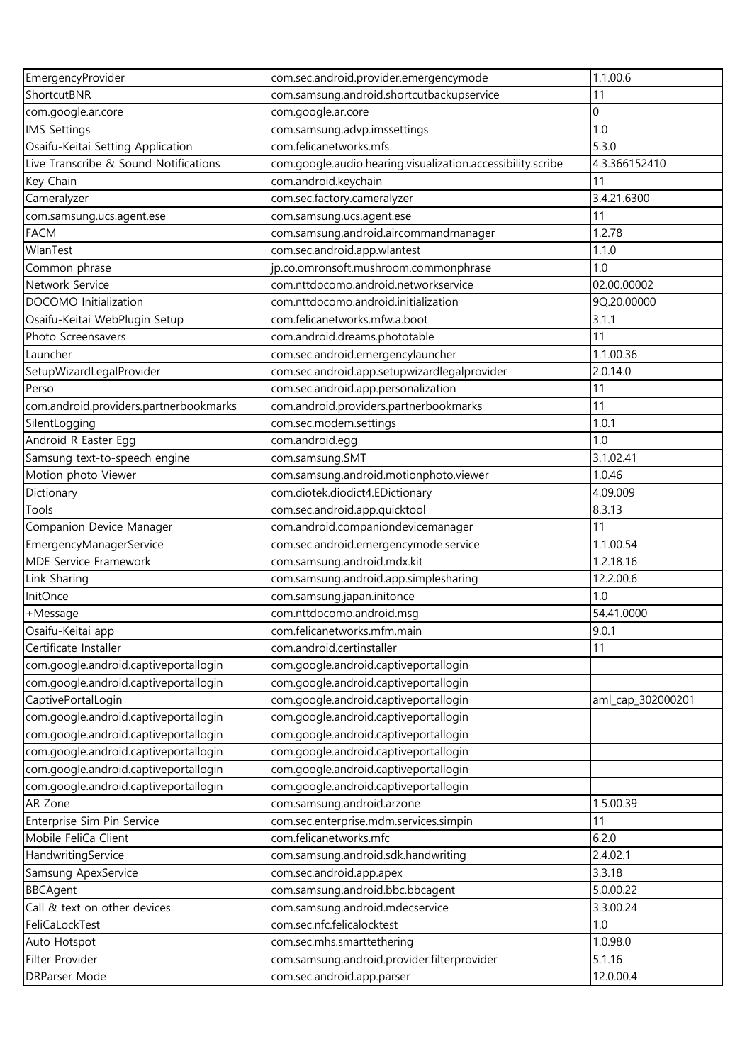| EmergencyProvider                                       | com.sec.android.provider.emergencymode                              | 1.1.00.6          |
|---------------------------------------------------------|---------------------------------------------------------------------|-------------------|
| ShortcutBNR                                             | com.samsung.android.shortcutbackupservice                           | 11                |
| com.google.ar.core                                      | com.google.ar.core                                                  | $\Omega$          |
| <b>IMS Settings</b>                                     | com.samsung.advp.imssettings                                        | 1.0               |
| Osaifu-Keitai Setting Application                       | com.felicanetworks.mfs                                              | 5.3.0             |
| Live Transcribe & Sound Notifications                   | com.google.audio.hearing.visualization.accessibility.scribe         | 4.3.366152410     |
| Key Chain                                               | com.android.keychain                                                | 11                |
| Cameralyzer                                             | com.sec.factory.cameralyzer                                         | 3.4.21.6300       |
| com.samsung.ucs.agent.ese                               | com.samsung.ucs.agent.ese                                           | 11                |
| <b>FACM</b>                                             | com.samsung.android.aircommandmanager                               | 1.2.78            |
| WlanTest                                                | com.sec.android.app.wlantest                                        | 1.1.0             |
| Common phrase                                           | jp.co.omronsoft.mushroom.commonphrase                               | 1.0               |
| Network Service                                         | com.nttdocomo.android.networkservice                                | 02.00.00002       |
| DOCOMO Initialization                                   | com.nttdocomo.android.initialization                                | 9Q.20.00000       |
| Osaifu-Keitai WebPlugin Setup                           | com.felicanetworks.mfw.a.boot                                       | 3.1.1             |
| Photo Screensavers                                      | com.android.dreams.phototable                                       | 11                |
| Launcher                                                | com.sec.android.emergencylauncher                                   | 1.1.00.36         |
| SetupWizardLegalProvider                                | com.sec.android.app.setupwizardlegalprovider                        | 2.0.14.0          |
| Perso                                                   | com.sec.android.app.personalization                                 | 11                |
| com.android.providers.partnerbookmarks                  | com.android.providers.partnerbookmarks                              | 11                |
| SilentLogging                                           | com.sec.modem.settings                                              | 1.0.1             |
| Android R Easter Egg                                    | com.android.egg                                                     | 1.0               |
| Samsung text-to-speech engine                           | com.samsung.SMT                                                     | 3.1.02.41         |
| Motion photo Viewer                                     | com.samsung.android.motionphoto.viewer                              | 1.0.46            |
| Dictionary                                              | com.diotek.diodict4.EDictionary                                     | 4.09.009          |
| Tools                                                   |                                                                     | 8.3.13            |
|                                                         | com.sec.android.app.quicktool<br>com.android.companiondevicemanager | 11                |
| Companion Device Manager                                |                                                                     | 1.1.00.54         |
| EmergencyManagerService<br><b>MDE Service Framework</b> | com.sec.android.emergencymode.service                               | 1.2.18.16         |
|                                                         | com.samsung.android.mdx.kit                                         |                   |
| Link Sharing<br>InitOnce                                | com.samsung.android.app.simplesharing                               | 12.2.00.6<br>1.0  |
|                                                         | com.samsung.japan.initonce                                          |                   |
| +Message                                                | com.nttdocomo.android.msg                                           | 54.41.0000        |
| Osaifu-Keitai app                                       | com.felicanetworks.mfm.main                                         | 9.0.1             |
| Certificate Installer                                   | com.android.certinstaller                                           | 11                |
| com.google.android.captiveportallogin                   | com.google.android.captiveportallogin                               |                   |
| com.google.android.captiveportallogin                   | com.google.android.captiveportallogin                               |                   |
| CaptivePortalLogin                                      | com.google.android.captiveportallogin                               | aml_cap_302000201 |
| com.google.android.captiveportallogin                   | com.google.android.captiveportallogin                               |                   |
| com.google.android.captiveportallogin                   | com.google.android.captiveportallogin                               |                   |
| com.google.android.captiveportallogin                   | com.google.android.captiveportallogin                               |                   |
| com.google.android.captiveportallogin                   | com.google.android.captiveportallogin                               |                   |
| com.google.android.captiveportallogin                   | com.google.android.captiveportallogin                               |                   |
| AR Zone                                                 | com.samsung.android.arzone                                          | 1.5.00.39         |
| Enterprise Sim Pin Service                              | com.sec.enterprise.mdm.services.simpin                              | 11                |
| Mobile FeliCa Client                                    | com.felicanetworks.mfc                                              | 6.2.0             |
| HandwritingService                                      | com.samsung.android.sdk.handwriting                                 | 2.4.02.1          |
| Samsung ApexService                                     | com.sec.android.app.apex                                            | 3.3.18            |
| <b>BBCAgent</b>                                         | com.samsung.android.bbc.bbcagent                                    | 5.0.00.22         |
| Call & text on other devices                            | com.samsung.android.mdecservice                                     | 3.3.00.24         |
| FeliCaLockTest                                          | com.sec.nfc.felicalocktest                                          | 1.0               |
| Auto Hotspot                                            | com.sec.mhs.smarttethering                                          | 1.0.98.0          |
| Filter Provider                                         | com.samsung.android.provider.filterprovider                         | 5.1.16            |
| DRParser Mode                                           | com.sec.android.app.parser                                          | 12.0.00.4         |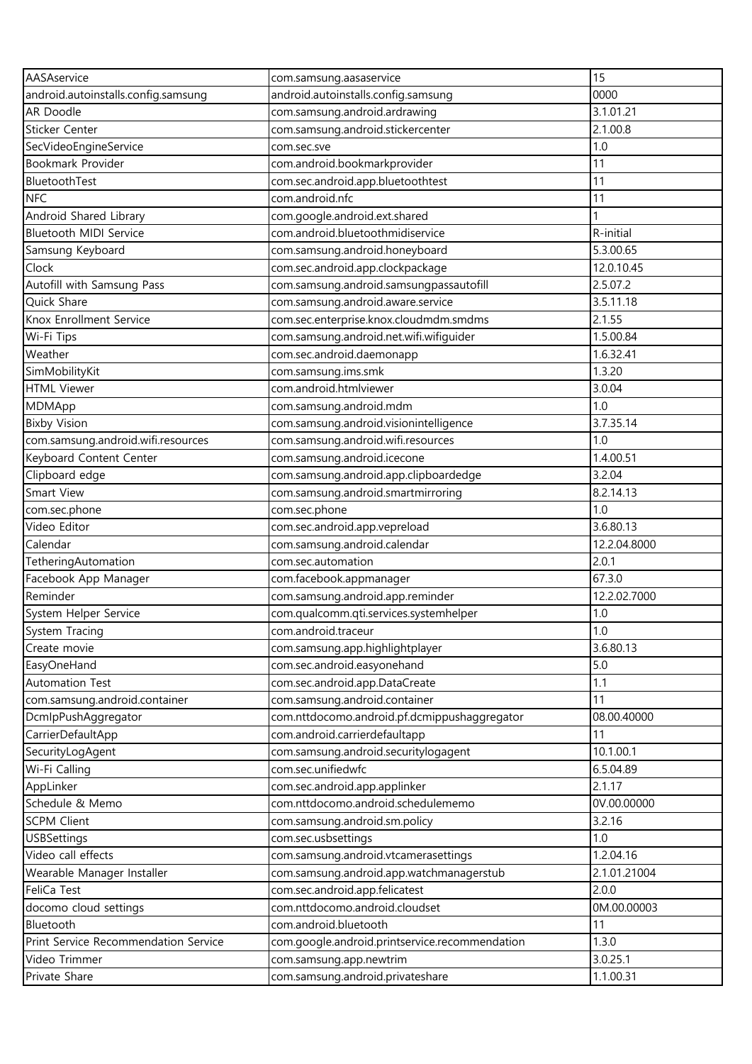| AASAservice                           | com.samsung.aasaservice                        | 15           |
|---------------------------------------|------------------------------------------------|--------------|
| android.autoinstalls.config.samsung   | android.autoinstalls.config.samsung            | 0000         |
| AR Doodle                             | com.samsung.android.ardrawing                  | 3.1.01.21    |
| Sticker Center                        | com.samsung.android.stickercenter              | 2.1.00.8     |
| SecVideoEngineService                 | com.sec.sve                                    | 1.0          |
| Bookmark Provider                     | com.android.bookmarkprovider                   | 11           |
| BluetoothTest                         | com.sec.android.app.bluetoothtest              | 11           |
| <b>NFC</b>                            | com.android.nfc                                | 11           |
| Android Shared Library                | com.google.android.ext.shared                  |              |
| <b>Bluetooth MIDI Service</b>         | com.android.bluetoothmidiservice               | R-initial    |
| Samsung Keyboard                      | com.samsung.android.honeyboard                 | 5.3.00.65    |
| Clock                                 | com.sec.android.app.clockpackage               | 12.0.10.45   |
| Autofill with Samsung Pass            | com.samsung.android.samsungpassautofill        | 2.5.07.2     |
| Quick Share                           | com.samsung.android.aware.service              | 3.5.11.18    |
| Knox Enrollment Service               | com.sec.enterprise.knox.cloudmdm.smdms         | 2.1.55       |
| Wi-Fi Tips                            | com.samsung.android.net.wifi.wifiguider        | 1.5.00.84    |
| Weather                               | com.sec.android.daemonapp                      | 1.6.32.41    |
| SimMobilityKit                        | com.samsung.ims.smk                            | 1.3.20       |
| <b>HTML Viewer</b>                    | com.android.htmlviewer                         | 3.0.04       |
| <b>MDMApp</b>                         | com.samsung.android.mdm                        | 1.0          |
| <b>Bixby Vision</b>                   | com.samsung.android.visionintelligence         | 3.7.35.14    |
| com.samsung.android.wifi.resources    | com.samsung.android.wifi.resources             | 1.0          |
| Keyboard Content Center               | com.samsung.android.icecone                    | 1.4.00.51    |
| Clipboard edge                        | com.samsung.android.app.clipboardedge          | 3.2.04       |
| Smart View                            | com.samsung.android.smartmirroring             | 8.2.14.13    |
| com.sec.phone                         | com.sec.phone                                  | 1.0          |
| Video Editor                          | com.sec.android.app.vepreload                  | 3.6.80.13    |
| Calendar                              | com.samsung.android.calendar                   | 12.2.04.8000 |
| TetheringAutomation                   | com.sec.automation                             | 2.0.1        |
| Facebook App Manager                  | com.facebook.appmanager                        | 67.3.0       |
| Reminder                              | com.samsung.android.app.reminder               | 12.2.02.7000 |
| System Helper Service                 | com.qualcomm.qti.services.systemhelper         | 1.0          |
| System Tracing                        | com.android.traceur                            | 1.0          |
| Create movie                          | com.samsung.app.highlightplayer                | 3.6.80.13    |
| EasyOneHand                           | com.sec.android.easyonehand                    | 5.0          |
| <b>Automation Test</b>                | com.sec.android.app.DataCreate                 | 1.1          |
| com.samsung.android.container         | com.samsung.android.container                  | 11           |
|                                       | com.nttdocomo.android.pf.dcmippushaggregator   | 08.00.40000  |
| DcmlpPushAggregator                   | com.android.carrierdefaultapp                  | 11           |
| CarrierDefaultApp<br>SecurityLogAgent | com.samsung.android.securitylogagent           | 10.1.00.1    |
| Wi-Fi Calling                         | com.sec.unifiedwfc                             |              |
|                                       |                                                | 6.5.04.89    |
| AppLinker                             | com.sec.android.app.applinker                  | 2.1.17       |
| Schedule & Memo                       | com.nttdocomo.android.schedulememo             | 0V.00.00000  |
| <b>SCPM Client</b>                    | com.samsung.android.sm.policy                  | 3.2.16       |
| <b>USBSettings</b>                    | com.sec.usbsettings                            | 1.0          |
| Video call effects                    | com.samsung.android.vtcamerasettings           | 1.2.04.16    |
| Wearable Manager Installer            | com.samsung.android.app.watchmanagerstub       | 2.1.01.21004 |
| FeliCa Test                           | com.sec.android.app.felicatest                 | 2.0.0        |
| docomo cloud settings                 | com.nttdocomo.android.cloudset                 | 0M.00.00003  |
| Bluetooth                             | com.android.bluetooth                          | 11           |
| Print Service Recommendation Service  | com.google.android.printservice.recommendation | 1.3.0        |
| Video Trimmer                         | com.samsung.app.newtrim                        | 3.0.25.1     |
| Private Share                         | com.samsung.android.privateshare               | 1.1.00.31    |